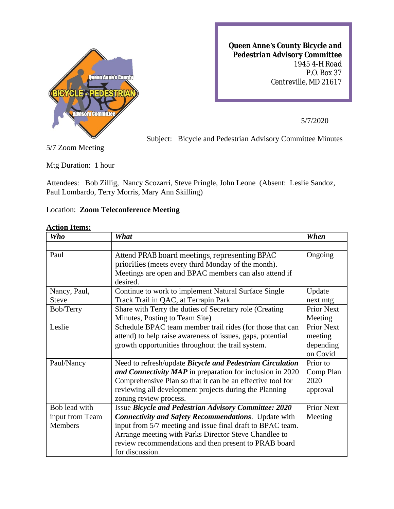

*Queen Anne's County Bicycle and Pedestrian Advisory Committee 1945 4-H Road P.O. Box 37 Centreville, MD 21617*

5/7/2020

Subject: Bicycle and Pedestrian Advisory Committee Minutes

5/7 Zoom Meeting

Mtg Duration: 1 hour

Attendees: Bob Zillig, Nancy Scozarri, Steve Pringle, John Leone (Absent: Leslie Sandoz, Paul Lombardo, Terry Morris, Mary Ann Skilling)

## Location: **Zoom Teleconference Meeting**

| <b>Who</b>      | What                                                              | When              |
|-----------------|-------------------------------------------------------------------|-------------------|
|                 |                                                                   |                   |
| Paul            | Attend PRAB board meetings, representing BPAC                     | Ongoing           |
|                 | priorities (meets every third Monday of the month).               |                   |
|                 | Meetings are open and BPAC members can also attend if<br>desired. |                   |
| Nancy, Paul,    | Continue to work to implement Natural Surface Single              | Update            |
| <b>Steve</b>    | Track Trail in QAC, at Terrapin Park                              | next mtg          |
| Bob/Terry       | Share with Terry the duties of Secretary role (Creating           | <b>Prior Next</b> |
|                 | Minutes, Posting to Team Site)                                    | Meeting           |
| Leslie          | Schedule BPAC team member trail rides (for those that can         | <b>Prior Next</b> |
|                 | attend) to help raise awareness of issues, gaps, potential        | meeting           |
|                 | growth opportunities throughout the trail system.                 | depending         |
|                 |                                                                   | on Covid          |
| Paul/Nancy      | Need to refresh/update Bicycle and Pedestrian Circulation         | Prior to          |
|                 | and Connectivity MAP in preparation for inclusion in 2020         | Comp Plan         |
|                 | Comprehensive Plan so that it can be an effective tool for        | 2020              |
|                 | reviewing all development projects during the Planning            | approval          |
| Bob lead with   | zoning review process.                                            | <b>Prior Next</b> |
|                 | Issue Bicycle and Pedestrian Advisory Committee: 2020             |                   |
| input from Team | <b>Connectivity and Safety Recommendations.</b> Update with       | Meeting           |
| Members         | input from 5/7 meeting and issue final draft to BPAC team.        |                   |
|                 | Arrange meeting with Parks Director Steve Chandlee to             |                   |
|                 | review recommendations and then present to PRAB board             |                   |
|                 | for discussion.                                                   |                   |

## **Action Items:**